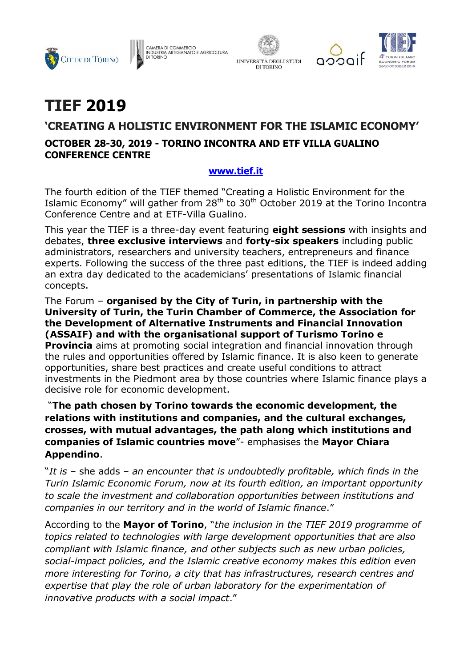







# **TIEF 2019**

## **'CREATING A HOLISTIC ENVIRONMENT FOR THE ISLAMIC ECONOMY'**

### **OCTOBER 28-30, 2019 - TORINO INCONTRA AND ETF VILLA GUALINO CONFERENCE CENTRE**

#### **[www.tief.it](http://www.tief.it/)**

The fourth edition of the TIEF themed "Creating a Holistic Environment for the Islamic Economy" will gather from  $28<sup>th</sup>$  to  $30<sup>th</sup>$  October 2019 at the Torino Incontra Conference Centre and at ETF-Villa Gualino.

This year the TIEF is a three-day event featuring **eight sessions** with insights and debates, **three exclusive interviews** and **forty-six speakers** including public administrators, researchers and university teachers, entrepreneurs and finance experts. Following the success of the three past editions, the TIEF is indeed adding an extra day dedicated to the academicians' presentations of Islamic financial concepts.

The Forum – **organised by the City of Turin, in partnership with the University of Turin, the Turin Chamber of Commerce, the Association for the Development of Alternative Instruments and Financial Innovation (ASSAIF) and with the organisational support of Turismo Torino e Provincia** aims at promoting social integration and financial innovation through the rules and opportunities offered by Islamic finance. It is also keen to generate opportunities, share best practices and create useful conditions to attract investments in the Piedmont area by those countries where Islamic finance plays a decisive role for economic development.

"**The path chosen by Torino towards the economic development, the relations with institutions and companies, and the cultural exchanges, crosses, with mutual advantages, the path along which institutions and companies of Islamic countries move**"- emphasises the **Mayor Chiara Appendino**.

"*It is –* she adds *– an encounter that is undoubtedly profitable, which finds in the Turin Islamic Economic Forum, now at its fourth edition, an important opportunity to scale the investment and collaboration opportunities between institutions and companies in our territory and in the world of Islamic finance*."

According to the **Mayor of Torino**, "*the inclusion in the TIEF 2019 programme of topics related to technologies with large development opportunities that are also compliant with Islamic finance, and other subjects such as new urban policies, social-impact policies, and the Islamic creative economy makes this edition even more interesting for Torino, a city that has infrastructures, research centres and expertise that play the role of urban laboratory for the experimentation of innovative products with a social impact*."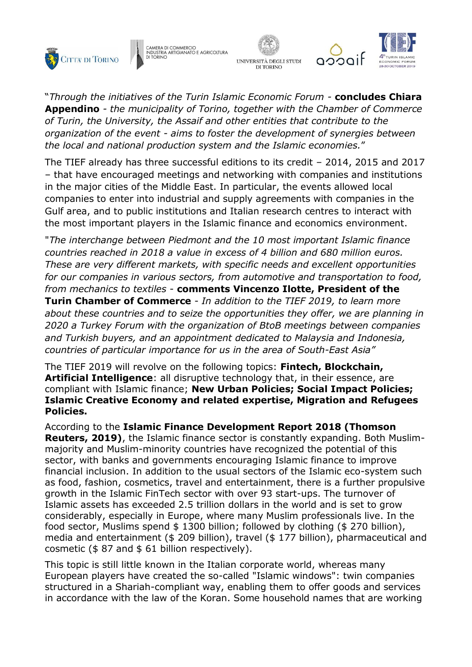







"*Through the initiatives of the Turin Islamic Economic Forum -* **concludes Chiara Appendino** *- the municipality of Torino, together with the Chamber of Commerce of Turin, the University, the Assaif and other entities that contribute to the organization of the event - aims to foster the development of synergies between the local and national production system and the Islamic economies.*"

The TIEF already has three successful editions to its credit – 2014, 2015 and 2017 – that have encouraged meetings and networking with companies and institutions in the major cities of the Middle East. In particular, the events allowed local companies to enter into industrial and supply agreements with companies in the Gulf area, and to public institutions and Italian research centres to interact with the most important players in the Islamic finance and economics environment.

"*The interchange between Piedmont and the 10 most important Islamic finance countries reached in 2018 a value in excess of 4 billion and 680 million euros. These are very different markets, with specific needs and excellent opportunities for our companies in various sectors, from automotive and transportation to food, from mechanics to textiles* - **comments Vincenzo Ilotte, President of the Turin Chamber of Commerce** - *In addition to the TIEF 2019, to learn more about these countries and to seize the opportunities they offer, we are planning in 2020 a Turkey Forum with the organization of BtoB meetings between companies and Turkish buyers, and an appointment dedicated to Malaysia and Indonesia, countries of particular importance for us in the area of South-East Asia"*

The TIEF 2019 will revolve on the following topics: **Fintech, Blockchain, Artificial Intelligence**: all disruptive technology that, in their essence, are compliant with Islamic finance; **New Urban Policies; Social Impact Policies; Islamic Creative Economy and related expertise, Migration and Refugees Policies.**

According to the **Islamic Finance Development Report 2018 (Thomson Reuters, 2019)**, the Islamic finance sector is constantly expanding. Both Muslimmajority and Muslim-minority countries have recognized the potential of this sector, with banks and governments encouraging Islamic finance to improve financial inclusion. In addition to the usual sectors of the Islamic eco-system such as food, fashion, cosmetics, travel and entertainment, there is a further propulsive growth in the Islamic FinTech sector with over 93 start-ups. The turnover of Islamic assets has exceeded 2.5 trillion dollars in the world and is set to grow considerably, especially in Europe, where many Muslim professionals live. In the food sector, Muslims spend \$ 1300 billion; followed by clothing (\$ 270 billion), media and entertainment (\$ 209 billion), travel (\$ 177 billion), pharmaceutical and cosmetic ( $$87$  and  $$61$  billion respectively).

This topic is still little known in the Italian corporate world, whereas many European players have created the so-called "Islamic windows": twin companies structured in a Shariah-compliant way, enabling them to offer goods and services in accordance with the law of the Koran. Some household names that are working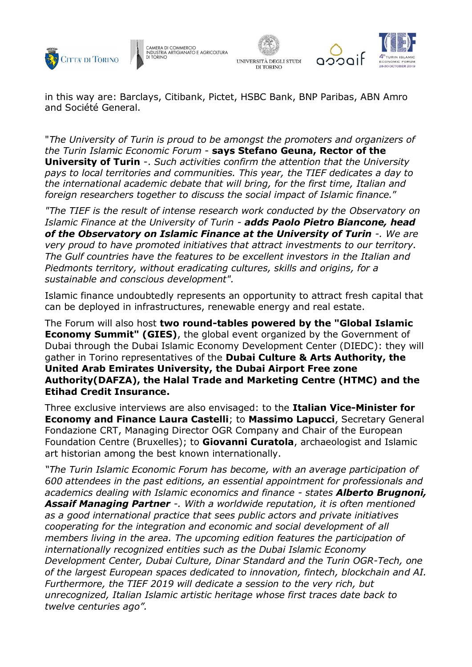





in this way are: Barclays, Citibank, Pictet, HSBC Bank, BNP Paribas, ABN Amro and Société General.

"*The University of Turin is proud to be amongst the promoters and organizers of the Turin Islamic Economic Forum* - **says Stefano Geuna, Rector of the University of Turin** -. *Such activities confirm the attention that the University pays to local territories and communities. This year, the TIEF dedicates a day to the international academic debate that will bring, for the first time, Italian and foreign researchers together to discuss the social impact of Islamic finance.*"

*"The TIEF is the result of intense research work conducted by the Observatory on Islamic Finance at the University of Turin - adds Paolo Pietro Biancone, head of the Observatory on Islamic Finance at the University of Turin -. We are very proud to have promoted initiatives that attract investments to our territory. The Gulf countries have the features to be excellent investors in the Italian and Piedmonts territory, without eradicating cultures, skills and origins, for a sustainable and conscious development".*

Islamic finance undoubtedly represents an opportunity to attract fresh capital that can be deployed in infrastructures, renewable energy and real estate.

The Forum will also host **two round-tables powered by the "Global Islamic Economy Summit" (GIES)**, the global event organized by the Government of Dubai through the Dubai Islamic Economy Development Center (DIEDC): they will gather in Torino representatives of the **Dubai Culture & Arts Authority, the United Arab Emirates University, the Dubai Airport Free zone Authority(DAFZA), the Halal Trade and Marketing Centre (HTMC) and the Etihad Credit Insurance.**

Three exclusive interviews are also envisaged: to the **Italian Vice-Minister for Economy and Finance Laura Castelli**; to **Massimo Lapucci**, Secretary General Fondazione CRT, Managing Director OGR Company and Chair of the European Foundation Centre (Bruxelles); to **Giovanni Curatola**, archaeologist and Islamic art historian among the best known internationally.

*"The Turin Islamic Economic Forum has become, with an average participation of 600 attendees in the past editions, an essential appointment for professionals and academics dealing with Islamic economics and finance - states Alberto Brugnoni, Assaif Managing Partner -. With a worldwide reputation, it is often mentioned as a good international practice that sees public actors and private initiatives cooperating for the integration and economic and social development of all members living in the area. The upcoming edition features the participation of internationally recognized entities such as the Dubai Islamic Economy Development Center, Dubai Culture, Dinar Standard and the Turin OGR-Tech, one of the largest European spaces dedicated to innovation, fintech, blockchain and AI. Furthermore, the TIEF 2019 will dedicate a session to the very rich, but unrecognized, Italian Islamic artistic heritage whose first traces date back to twelve centuries ago".*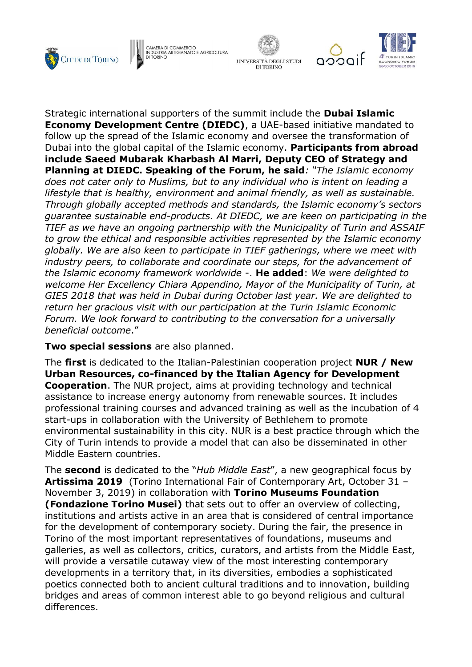





Strategic international supporters of the summit include the **Dubai Islamic Economy Development Centre (DIEDC)**, a UAE-based initiative mandated to follow up the spread of the Islamic economy and oversee the transformation of Dubai into the global capital of the Islamic economy. **Participants from abroad include Saeed Mubarak Kharbash Al Marri, Deputy CEO of Strategy and Planning at DIEDC. Speaking of the Forum, he said***: "The Islamic economy does not cater only to Muslims, but to any individual who is intent on leading a lifestyle that is healthy, environment and animal friendly, as well as sustainable. Through globally accepted methods and standards, the Islamic economy's sectors guarantee sustainable end-products. At DIEDC, we are keen on participating in the TIEF as we have an ongoing partnership with the Municipality of Turin and ASSAIF to grow the ethical and responsible activities represented by the Islamic economy globally. We are also keen to participate in TIEF gatherings, where we meet with industry peers, to collaborate and coordinate our steps, for the advancement of the Islamic economy framework worldwide* -. **He added**: *We were delighted to welcome Her Excellency Chiara Appendino, Mayor of the Municipality of Turin, at GIES 2018 that was held in Dubai during October last year. We are delighted to return her gracious visit with our participation at the Turin Islamic Economic Forum. We look forward to contributing to the conversation for a universally beneficial outcome*."

**Two special sessions** are also planned.

The **first** is dedicated to the Italian-Palestinian cooperation project **NUR / New Urban Resources, co-financed by the Italian Agency for Development Cooperation**. The NUR project, aims at providing technology and technical assistance to increase energy autonomy from renewable sources. It includes professional training courses and advanced training as well as the incubation of 4 start-ups in collaboration with the University of Bethlehem to promote environmental sustainability in this city. NUR is a best practice through which the City of Turin intends to provide a model that can also be disseminated in other Middle Eastern countries.

The **second** is dedicated to the "*Hub Middle East*", a new geographical focus by **Artissima 2019** (Torino International Fair of Contemporary Art, October 31 – November 3, 2019) in collaboration with **Torino Museums Foundation (Fondazione Torino Musei)** that sets out to offer an overview of collecting, institutions and artists active in an area that is considered of central importance for the development of contemporary society. During the fair, the presence in Torino of the most important representatives of foundations, museums and galleries, as well as collectors, critics, curators, and artists from the Middle East, will provide a versatile cutaway view of the most interesting contemporary developments in a territory that, in its diversities, embodies a sophisticated poetics connected both to ancient cultural traditions and to innovation, building bridges and areas of common interest able to go beyond religious and cultural differences.